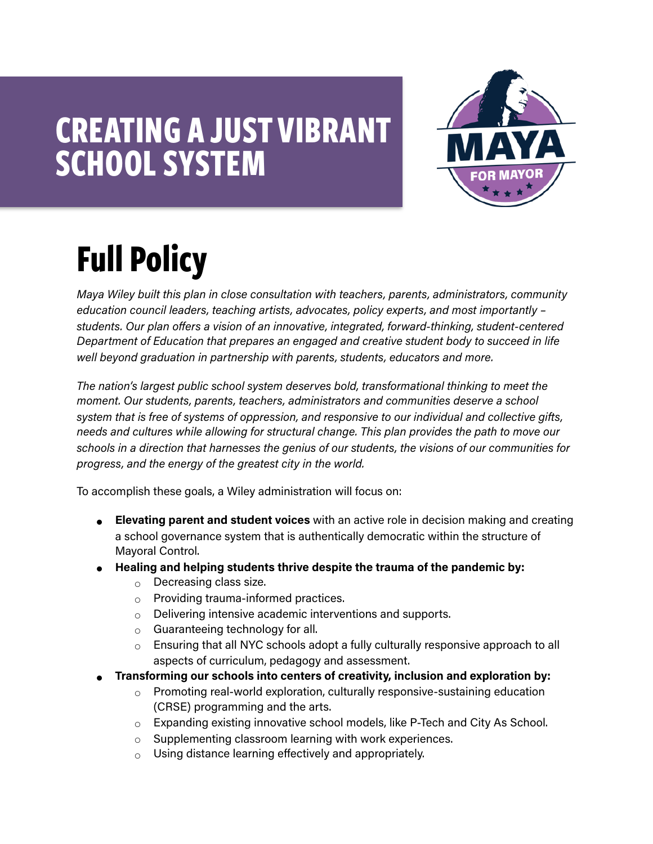# **CREATING A JUST VIBRANT SCHOOL SYSTEM**



# **Full Policy**

*Maya Wiley built this plan in close consultation with teachers, parents, administrators, community education council leaders, teaching artists, advocates, policy experts, and most importantly – students. Our plan offers a vision of an innovative, integrated, forward-thinking, student-centered Department of Education that prepares an engaged and creative student body to succeed in life well beyond graduation in partnership with parents, students, educators and more.* 

*The nation's largest public school system deserves bold, transformational thinking to meet the moment. Our students, parents, teachers, administrators and communities deserve a school system that is free of systems of oppression, and responsive to our individual and collective gifts, needs and cultures while allowing for structural change. This plan provides the path to move our schools in a direction that harnesses the genius of our students, the visions of our communities for progress, and the energy of the greatest city in the world.*

To accomplish these goals, a Wiley administration will focus on:

- **Elevating parent and student voices** with an active role in decision making and creating a school governance system that is authentically democratic within the structure of Mayoral Control.
- **Healing and helping students thrive despite the trauma of the pandemic by:** 
	- $\circ$  Decreasing class size.
	- o Providing trauma-informed practices.
	- Delivering intensive academic interventions and supports.
	- $\circ$  Guaranteeing technology for all.
	- Ensuring that all NYC schools adopt a fully culturally responsive approach to all aspects of curriculum, pedagogy and assessment.
- **Transforming our schools into centers of creativity, inclusion and exploration by:**
	- $\circ$  Promoting real-world exploration, culturally responsive-sustaining education (CRSE) programming and the arts.
	- $\circ$  Expanding existing innovative school models, like P-Tech and City As School.
	- Supplementing classroom learning with work experiences.
	- $\circ$  Using distance learning effectively and appropriately.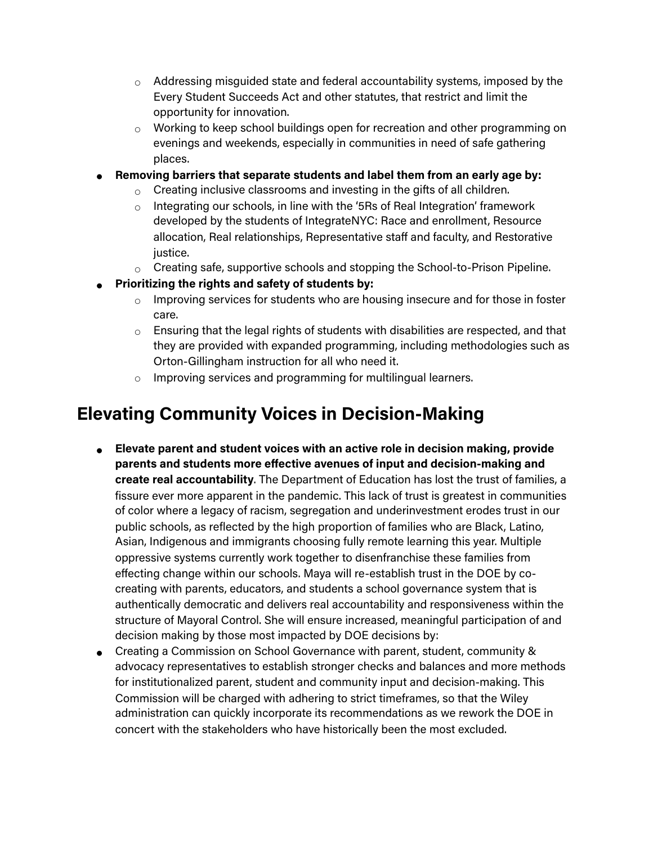- $\circ$  Addressing misguided state and federal accountability systems, imposed by the Every Student Succeeds Act and other statutes, that restrict and limit the opportunity for innovation.
- Working to keep school buildings open for recreation and other programming on evenings and weekends, especially in communities in need of safe gathering places.
- **Removing barriers that separate students and label them from an early age by:**
	- $\circ$  Creating inclusive classrooms and investing in the gifts of all children.
	- Integrating our schools, in line with the '5Rs of Real Integration' framework developed by the students of IntegrateNYC: Race and enrollment, Resource allocation, Real relationships, Representative staff and faculty, and Restorative justice.
	- $\circ$  Creating safe, supportive schools and stopping the School-to-Prison Pipeline.
- **Prioritizing the rights and safety of students by:** 
	- $\circ$  Improving services for students who are housing insecure and for those in foster care.
	- $\circ$  Ensuring that the legal rights of students with disabilities are respected, and that they are provided with expanded programming, including methodologies such as Orton-Gillingham instruction for all who need it.
	- Improving services and programming for multilingual learners.

#### **Elevating Community Voices in Decision-Making**

- **Elevate parent and student voices with an active role in decision making, provide parents and students more effective avenues of input and decision-making and create real accountability**. The Department of Education has lost the trust of families, a fissure ever more apparent in the pandemic. This lack of trust is greatest in communities of color where a legacy of racism, segregation and underinvestment erodes trust in our public schools, as reflected by the high proportion of families who are Black, Latino, Asian, Indigenous and immigrants choosing fully remote learning this year. Multiple oppressive systems currently work together to disenfranchise these families from effecting change within our schools. Maya will re-establish trust in the DOE by cocreating with parents, educators, and students a school governance system that is authentically democratic and delivers real accountability and responsiveness within the structure of Mayoral Control. She will ensure increased, meaningful participation of and decision making by those most impacted by DOE decisions by:
- Creating a Commission on School Governance with parent, student, community & advocacy representatives to establish stronger checks and balances and more methods for institutionalized parent, student and community input and decision-making. This Commission will be charged with adhering to strict timeframes, so that the Wiley administration can quickly incorporate its recommendations as we rework the DOE in concert with the stakeholders who have historically been the most excluded.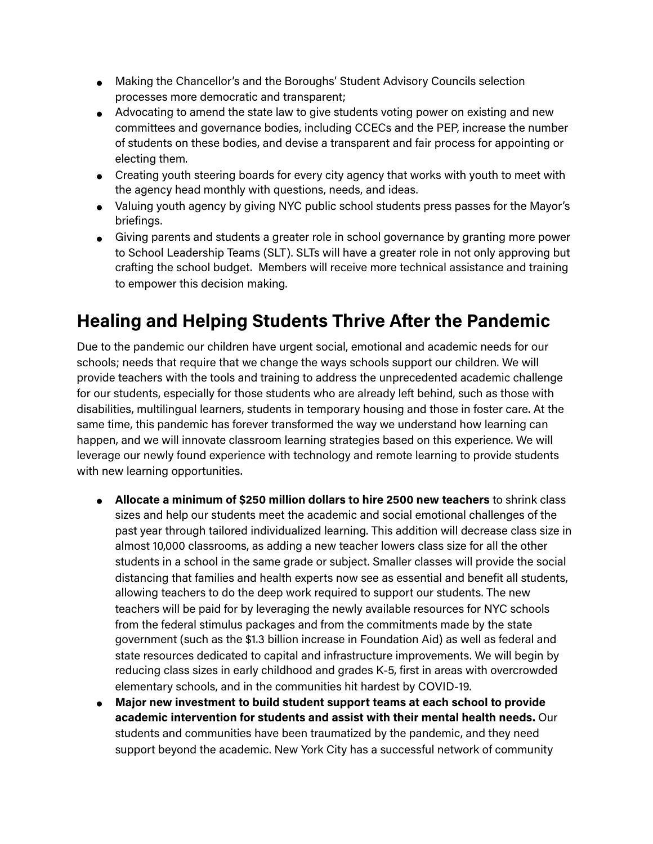- Making the Chancellor's and the Boroughs' Student Advisory Councils selection processes more democratic and transparent;
- Advocating to amend the state law to give students voting power on existing and new committees and governance bodies, including CCECs and the PEP, increase the number of students on these bodies, and devise a transparent and fair process for appointing or electing them.
- Creating youth steering boards for every city agency that works with youth to meet with the agency head monthly with questions, needs, and ideas.
- Valuing youth agency by giving NYC public school students press passes for the Mayor's briefings.
- Giving parents and students a greater role in school governance by granting more power to School Leadership Teams (SLT). SLTs will have a greater role in not only approving but crafting the school budget. Members will receive more technical assistance and training to empower this decision making.

#### **Healing and Helping Students Thrive After the Pandemic**

Due to the pandemic our children have urgent social, emotional and academic needs for our schools; needs that require that we change the ways schools support our children. We will provide teachers with the tools and training to address the unprecedented academic challenge for our students, especially for those students who are already left behind, such as those with disabilities, multilingual learners, students in temporary housing and those in foster care. At the same time, this pandemic has forever transformed the way we understand how learning can happen, and we will innovate classroom learning strategies based on this experience. We will leverage our newly found experience with technology and remote learning to provide students with new learning opportunities.

- **Allocate a minimum of \$250 million dollars to hire 2500 new teachers** to shrink class sizes and help our students meet the academic and social emotional challenges of the past year through tailored individualized learning. This addition will decrease class size in almost 10,000 classrooms, as adding a new teacher lowers class size for all the other students in a school in the same grade or subject. Smaller classes will provide the social distancing that families and health experts now see as essential and benefit all students, allowing teachers to do the deep work required to support our students. The new teachers will be paid for by leveraging the newly available resources for NYC schools from the federal stimulus packages and from the commitments made by the state government (such as the \$1.3 billion increase in Foundation Aid) as well as federal and state resources dedicated to capital and infrastructure improvements. We will begin by reducing class sizes in early childhood and grades K-5, first in areas with overcrowded elementary schools, and in the communities hit hardest by COVID-19.
- **Major new investment to build student support teams at each school to provide academic intervention for students and assist with their mental health needs.** Our students and communities have been traumatized by the pandemic, and they need support beyond the academic. New York City has a successful network of community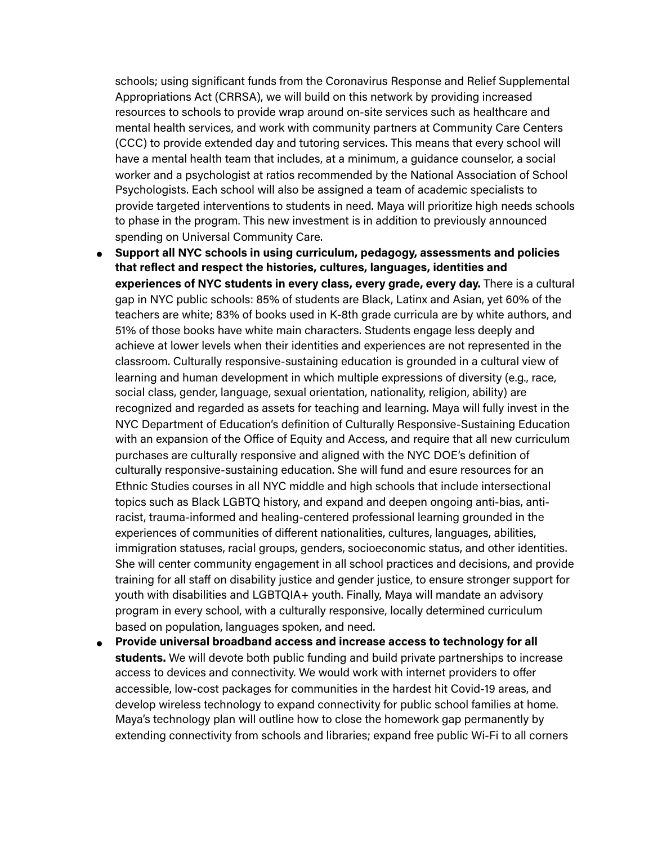schools; using significant funds from the Coronavirus Response and Relief Supplemental Appropriations Act (CRRSA), we will build on this network by providing increased resources to schools to provide wrap around on-site services such as healthcare and mental health services, and work with community partners at Community Care Centers (CCC) to provide extended day and tutoring services. This means that every school will have a mental health team that includes, at a minimum, a guidance counselor, a social worker and a psychologist at ratios recommended by the National Association of School Psychologists. Each school will also be assigned a team of academic specialists to provide targeted interventions to students in need. Maya will prioritize high needs schools to phase in the program. This new investment is in addition to previously announced spending on Universal Community Care.

- **Support all NYC schools in using curriculum, pedagogy, assessments and policies that reflect and respect the histories, cultures, languages, identities and experiences of NYC students in every class, every grade, every day.** There is a cultural gap in NYC public schools: 85% of students are Black, Latinx and Asian, yet 60% of the teachers are white; 83% of books used in K-8th grade curricula are by white authors, and 51% of those books have white main characters. Students engage less deeply and achieve at lower levels when their identities and experiences are not represented in the classroom. Culturally responsive-sustaining education is grounded in a cultural view of learning and human development in which multiple expressions of diversity (e.g., race, social class, gender, language, sexual orientation, nationality, religion, ability) are recognized and regarded as assets for teaching and learning. Maya will fully invest in the NYC Department of Education's definition of Culturally Responsive-Sustaining Education with an expansion of the Office of Equity and Access, and require that all new curriculum purchases are culturally responsive and aligned with the NYC DOE's definition of culturally responsive-sustaining education. She will fund and esure resources for an Ethnic Studies courses in all NYC middle and high schools that include intersectional topics such as Black LGBTQ history, and expand and deepen ongoing anti-bias, antiracist, trauma-informed and healing-centered professional learning grounded in the experiences of communities of different nationalities, cultures, languages, abilities, immigration statuses, racial groups, genders, socioeconomic status, and other identities. She will center community engagement in all school practices and decisions, and provide training for all staff on disability justice and gender justice, to ensure stronger support for youth with disabilities and LGBTQIA+ youth. Finally, Maya will mandate an advisory program in every school, with a culturally responsive, locally determined curriculum based on population, languages spoken, and need.
- **Provide universal broadband access and increase access to technology for all students.** We will devote both public funding and build private partnerships to increase access to devices and connectivity. We would work with internet providers to offer accessible, low-cost packages for communities in the hardest hit Covid-19 areas, and develop wireless technology to expand connectivity for public school families at home. Maya's technology plan will outline how to close the homework gap permanently by extending connectivity from schools and libraries; expand free public Wi-Fi to all corners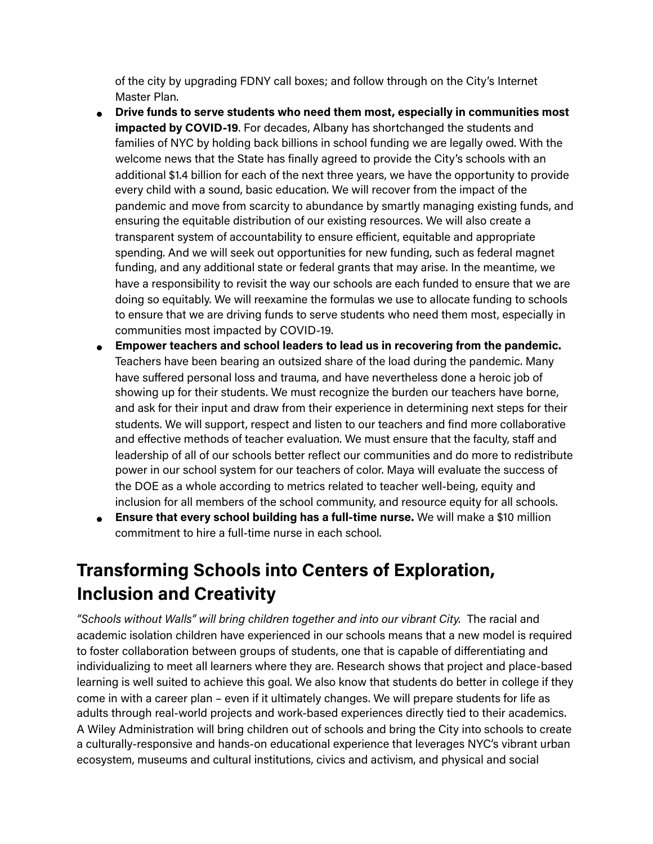of the city by upgrading FDNY call boxes; and follow through on the City's Internet Master Plan.

- **Drive funds to serve students who need them most, especially in communities most impacted by COVID-19**. For decades, Albany has shortchanged the students and families of NYC by holding back billions in school funding we are legally owed. With the welcome news that the State has finally agreed to provide the City's schools with an additional \$1.4 billion for each of the next three years, we have the opportunity to provide every child with a sound, basic education. We will recover from the impact of the pandemic and move from scarcity to abundance by smartly managing existing funds, and ensuring the equitable distribution of our existing resources. We will also create a transparent system of accountability to ensure efficient, equitable and appropriate spending. And we will seek out opportunities for new funding, such as federal magnet funding, and any additional state or federal grants that may arise. In the meantime, we have a responsibility to revisit the way our schools are each funded to ensure that we are doing so equitably. We will reexamine the formulas we use to allocate funding to schools to ensure that we are driving funds to serve students who need them most, especially in communities most impacted by COVID-19.
- **Empower teachers and school leaders to lead us in recovering from the pandemic.** Teachers have been bearing an outsized share of the load during the pandemic. Many have suffered personal loss and trauma, and have nevertheless done a heroic job of showing up for their students. We must recognize the burden our teachers have borne, and ask for their input and draw from their experience in determining next steps for their students. We will support, respect and listen to our teachers and find more collaborative and effective methods of teacher evaluation. We must ensure that the faculty, staff and leadership of all of our schools better reflect our communities and do more to redistribute power in our school system for our teachers of color. Maya will evaluate the success of the DOE as a whole according to metrics related to teacher well-being, equity and inclusion for all members of the school community, and resource equity for all schools.
- **Ensure that every school building has a full-time nurse.** We will make a \$10 million commitment to hire a full-time nurse in each school.

#### **Transforming Schools into Centers of Exploration, Inclusion and Creativity**

*"Schools without Walls" will bring children together and into our vibrant City.* The racial and academic isolation children have experienced in our schools means that a new model is required to foster collaboration between groups of students, one that is capable of differentiating and individualizing to meet all learners where they are. Research shows that project and place-based learning is well suited to achieve this goal. We also know that students do better in college if they come in with a career plan – even if it ultimately changes. We will prepare students for life as adults through real-world projects and work-based experiences directly tied to their academics. A Wiley Administration will bring children out of schools and bring the City into schools to create a culturally-responsive and hands-on educational experience that leverages NYC's vibrant urban ecosystem, museums and cultural institutions, civics and activism, and physical and social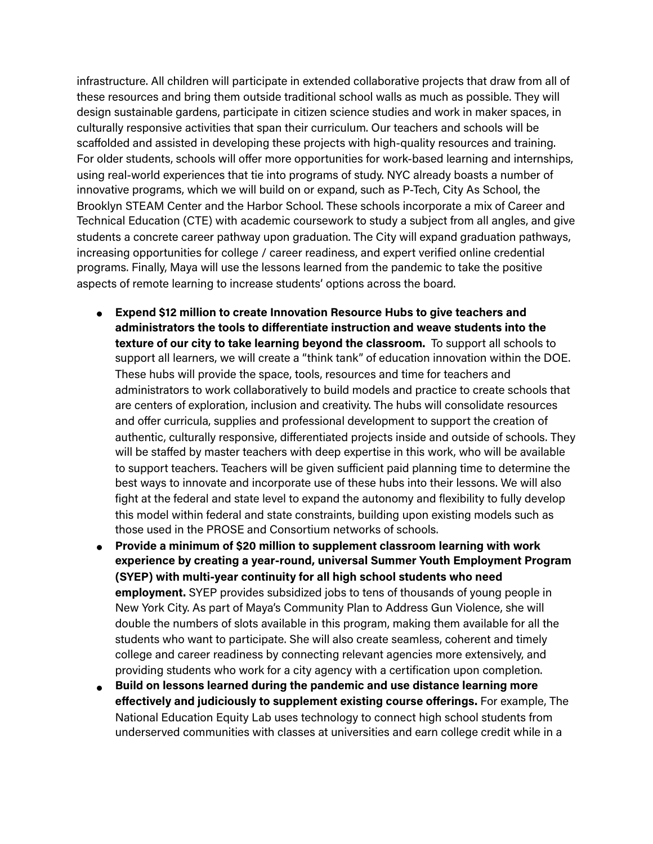infrastructure. All children will participate in extended collaborative projects that draw from all of these resources and bring them outside traditional school walls as much as possible. They will design sustainable gardens, participate in citizen science studies and work in maker spaces, in culturally responsive activities that span their curriculum. Our teachers and schools will be scaffolded and assisted in developing these projects with high-quality resources and training. For older students, schools will offer more opportunities for work-based learning and internships, using real-world experiences that tie into programs of study. NYC already boasts a number of innovative programs, which we will build on or expand, such as P-Tech, City As School, the Brooklyn STEAM Center and the Harbor School. These schools incorporate a mix of Career and Technical Education (CTE) with academic coursework to study a subject from all angles, and give students a concrete career pathway upon graduation. The City will expand graduation pathways, increasing opportunities for college / career readiness, and expert verified online credential programs. Finally, Maya will use the lessons learned from the pandemic to take the positive aspects of remote learning to increase students' options across the board.

- **Expend \$12 million to create Innovation Resource Hubs to give teachers and administrators the tools to differentiate instruction and weave students into the texture of our city to take learning beyond the classroom.** To support all schools to support all learners, we will create a "think tank" of education innovation within the DOE. These hubs will provide the space, tools, resources and time for teachers and administrators to work collaboratively to build models and practice to create schools that are centers of exploration, inclusion and creativity. The hubs will consolidate resources and offer curricula, supplies and professional development to support the creation of authentic, culturally responsive, differentiated projects inside and outside of schools. They will be staffed by master teachers with deep expertise in this work, who will be available to support teachers. Teachers will be given sufficient paid planning time to determine the best ways to innovate and incorporate use of these hubs into their lessons. We will also fight at the federal and state level to expand the autonomy and flexibility to fully develop this model within federal and state constraints, building upon existing models such as those used in the PROSE and Consortium networks of schools.
- **Provide a minimum of \$20 million to supplement classroom learning with work experience by creating a year-round, universal Summer Youth Employment Program (SYEP) with multi-year continuity for all high school students who need employment.** SYEP provides subsidized jobs to tens of thousands of young people in New York City. As part of Maya's Community Plan to Address Gun Violence, she will double the numbers of slots available in this program, making them available for all the students who want to participate. She will also create seamless, coherent and timely college and career readiness by connecting relevant agencies more extensively, and providing students who work for a city agency with a certification upon completion.
- **Build on lessons learned during the pandemic and use distance learning more effectively and judiciously to supplement existing course offerings.** For example, The National Education Equity Lab uses technology to connect high school students from underserved communities with classes at universities and earn college credit while in a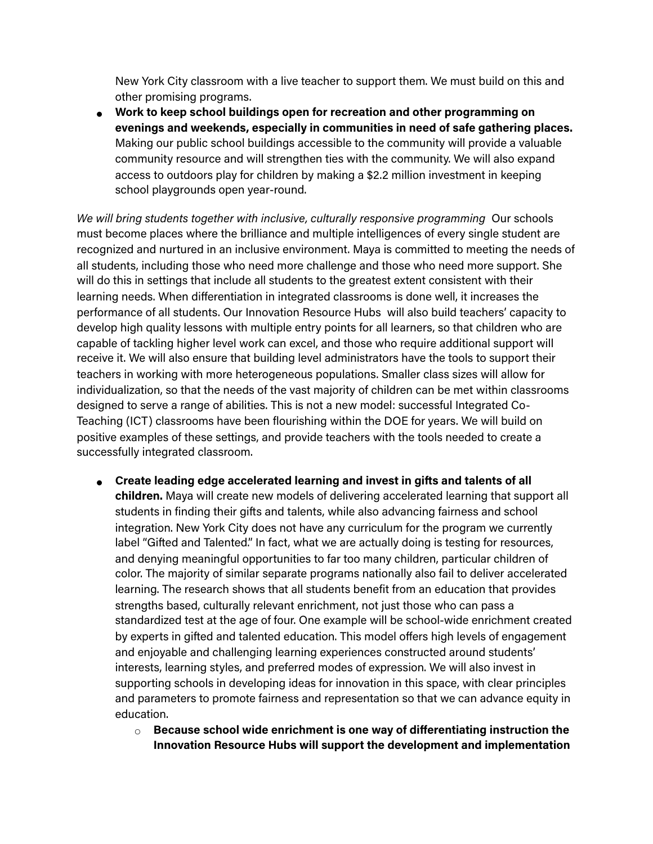New York City classroom with a live teacher to support them. We must build on this and other promising programs.

● **Work to keep school buildings open for recreation and other programming on evenings and weekends, especially in communities in need of safe gathering places.**  Making our public school buildings accessible to the community will provide a valuable community resource and will strengthen ties with the community. We will also expand access to outdoors play for children by making a \$2.2 million investment in keeping school playgrounds open year-round.

We will bring students together with inclusive, culturally responsive programming Our schools must become places where the brilliance and multiple intelligences of every single student are recognized and nurtured in an inclusive environment. Maya is committed to meeting the needs of all students, including those who need more challenge and those who need more support. She will do this in settings that include all students to the greatest extent consistent with their learning needs. When differentiation in integrated classrooms is done well, it increases the performance of all students. Our Innovation Resource Hubs will also build teachers' capacity to develop high quality lessons with multiple entry points for all learners, so that children who are capable of tackling higher level work can excel, and those who require additional support will receive it. We will also ensure that building level administrators have the tools to support their teachers in working with more heterogeneous populations. Smaller class sizes will allow for individualization, so that the needs of the vast majority of children can be met within classrooms designed to serve a range of abilities. This is not a new model: successful Integrated Co-Teaching (ICT) classrooms have been flourishing within the DOE for years. We will build on positive examples of these settings, and provide teachers with the tools needed to create a successfully integrated classroom.

- **Create leading edge accelerated learning and invest in gifts and talents of all children.** Maya will create new models of delivering accelerated learning that support all students in finding their gifts and talents, while also advancing fairness and school integration. New York City does not have any curriculum for the program we currently label "Gifted and Talented." In fact, what we are actually doing is testing for resources, and denying meaningful opportunities to far too many children, particular children of color. The majority of similar separate programs nationally also fail to deliver accelerated learning. The research shows that all students benefit from an education that provides strengths based, culturally relevant enrichment, not just those who can pass a standardized test at the age of four. One example will be school-wide enrichment created by experts in gifted and talented education. This model offers high levels of engagement and enjoyable and challenging learning experiences constructed around students' interests, learning styles, and preferred modes of expression. We will also invest in supporting schools in developing ideas for innovation in this space, with clear principles and parameters to promote fairness and representation so that we can advance equity in education.
	- **Because school wide enrichment is one way of differentiating instruction the Innovation Resource Hubs will support the development and implementation**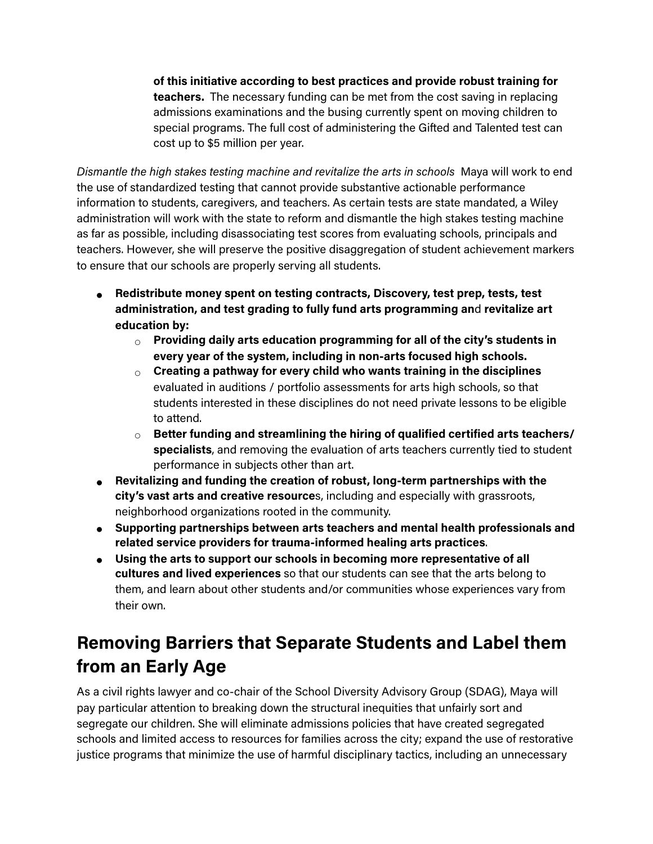**of this initiative according to best practices and provide robust training for teachers.** The necessary funding can be met from the cost saving in replacing admissions examinations and the busing currently spent on moving children to special programs. The full cost of administering the Gifted and Talented test can cost up to \$5 million per year.

*Dismantle the high stakes testing machine and revitalize the arts in schools* Maya will work to end the use of standardized testing that cannot provide substantive actionable performance information to students, caregivers, and teachers. As certain tests are state mandated, a Wiley administration will work with the state to reform and dismantle the high stakes testing machine as far as possible, including disassociating test scores from evaluating schools, principals and teachers. However, she will preserve the positive disaggregation of student achievement markers to ensure that our schools are properly serving all students.

- **Redistribute money spent on testing contracts, Discovery, test prep, tests, test administration, and test grading to fully fund arts programming an**d **revitalize art education by:** 
	- **Providing daily arts education programming for all of the city's students in every year of the system, including in non-arts focused high schools.**
	- **Creating a pathway for every child who wants training in the disciplines**  evaluated in auditions / portfolio assessments for arts high schools, so that students interested in these disciplines do not need private lessons to be eligible to attend.
	- **Better funding and streamlining the hiring of qualified certified arts teachers/ specialists**, and removing the evaluation of arts teachers currently tied to student performance in subjects other than art.
- **Revitalizing and funding the creation of robust, long-term partnerships with the city's vast arts and creative resource**s, including and especially with grassroots, neighborhood organizations rooted in the community.
- **Supporting partnerships between arts teachers and mental health professionals and related service providers for trauma-informed healing arts practices**.
- **Using the arts to support our schools in becoming more representative of all cultures and lived experiences** so that our students can see that the arts belong to them, and learn about other students and/or communities whose experiences vary from their own.

## **Removing Barriers that Separate Students and Label them from an Early Age**

As a civil rights lawyer and co-chair of the School Diversity Advisory Group (SDAG), Maya will pay particular attention to breaking down the structural inequities that unfairly sort and segregate our children. She will eliminate admissions policies that have created segregated schools and limited access to resources for families across the city; expand the use of restorative justice programs that minimize the use of harmful disciplinary tactics, including an unnecessary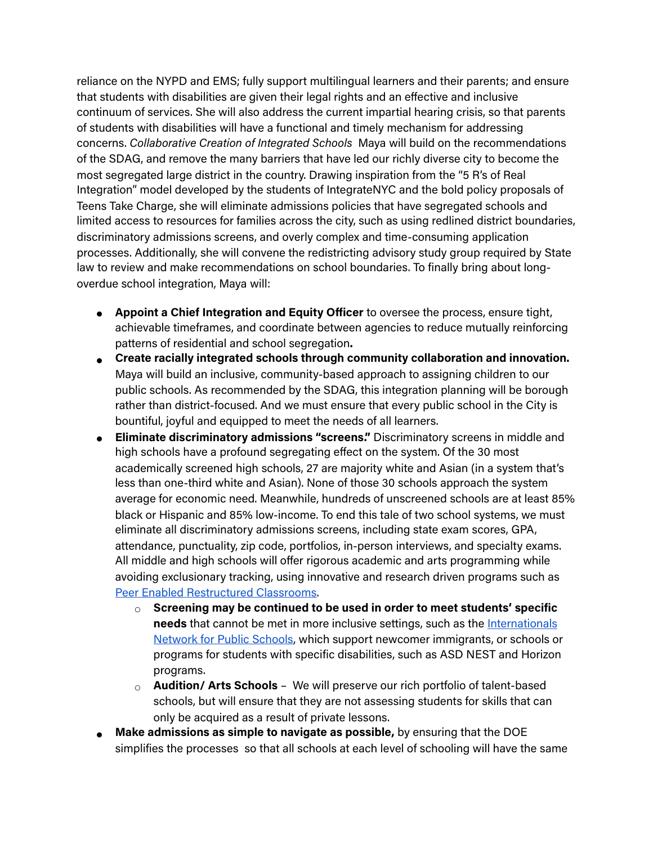reliance on the NYPD and EMS; fully support multilingual learners and their parents; and ensure that students with disabilities are given their legal rights and an effective and inclusive continuum of services. She will also address the current impartial hearing crisis, so that parents of students with disabilities will have a functional and timely mechanism for addressing concerns. *Collaborative Creation of Integrated Schools* Maya will build on the recommendations of the SDAG, and remove the many barriers that have led our richly diverse city to become the most segregated large district in the country. Drawing inspiration from the "5 R's of Real Integration" model developed by the students of IntegrateNYC and the bold policy proposals of Teens Take Charge, she will eliminate admissions policies that have segregated schools and limited access to resources for families across the city, such as using redlined district boundaries, discriminatory admissions screens, and overly complex and time-consuming application processes. Additionally, she will convene the redistricting advisory study group required by State law to review and make recommendations on school boundaries. To finally bring about longoverdue school integration, Maya will:

- **Appoint a Chief Integration and Equity Officer** to oversee the process, ensure tight, achievable timeframes, and coordinate between agencies to reduce mutually reinforcing patterns of residential and school segregation**.**
- **Create racially integrated schools through community collaboration and innovation.**  Maya will build an inclusive, community-based approach to assigning children to our public schools. As recommended by the SDAG, this integration planning will be borough rather than district-focused. And we must ensure that every public school in the City is bountiful, joyful and equipped to meet the needs of all learners.
- **Eliminate discriminatory admissions "screens."** Discriminatory screens in middle and high schools have a profound segregating effect on the system. Of the 30 most academically screened high schools, 27 are majority white and Asian (in a system that's less than one-third white and Asian). None of those 30 schools approach the system average for economic need. Meanwhile, hundreds of unscreened schools are at least 85% black or Hispanic and 85% low-income. To end this tale of two school systems, we must eliminate all discriminatory admissions screens, including state exam scores, GPA, attendance, punctuality, zip code, portfolios, in-person interviews, and specialty exams. All middle and high schools will offer rigorous academic and arts programming while avoiding exclusionary tracking, using innovative and research driven programs such as [Peer Enabled Restructured Classrooms](https://www.cuny.edu/academics/school-college-partnerships/cuny-perc/).
	- **Screening may be continued to be used in order to meet students' specific needs** that cannot be met in more inclusive settings, such as th[e](https://www.internationalsnetwork.org/) Internationals [Network for Public Schools, which support newcomer immigrants, or schools or](https://www.internationalsnetwork.org/) programs for students with specific disabilities, such as ASD NEST and Horizon programs.
	- **Audition/ Arts Schools** We will preserve our rich portfolio of talent-based schools, but will ensure that they are not assessing students for skills that can only be acquired as a result of private lessons.
- **Make admissions as simple to navigate as possible,** by ensuring that the DOE simplifies the processes so that all schools at each level of schooling will have the same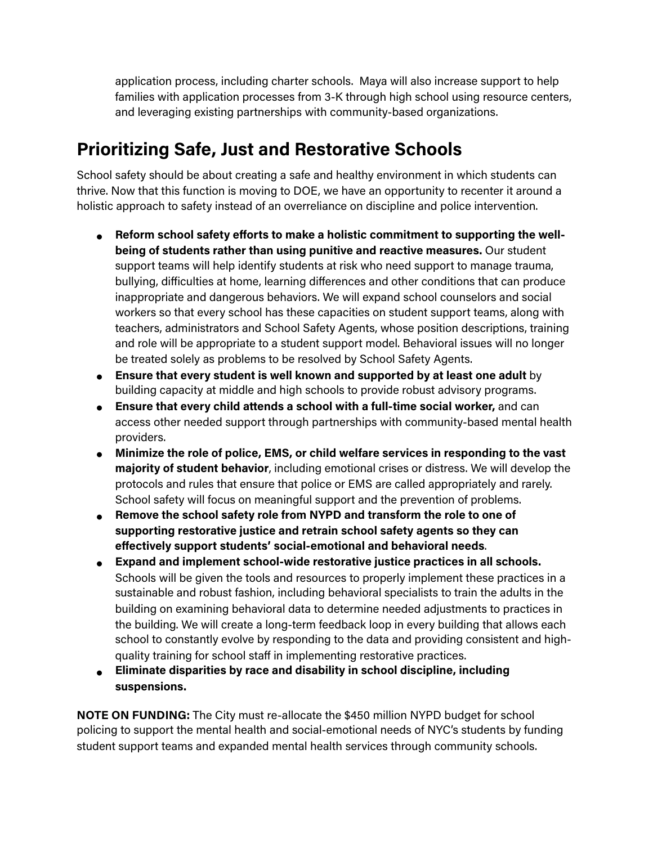application process, including charter schools. Maya will also increase support to help families with application processes from 3-K through high school using resource centers, and leveraging existing partnerships with community-based organizations.

#### **Prioritizing Safe, Just and Restorative Schools**

School safety should be about creating a safe and healthy environment in which students can thrive. Now that this function is moving to DOE, we have an opportunity to recenter it around a holistic approach to safety instead of an overreliance on discipline and police intervention.

- **Reform school safety efforts to make a holistic commitment to supporting the wellbeing of students rather than using punitive and reactive measures.** Our student support teams will help identify students at risk who need support to manage trauma, bullying, difficulties at home, learning differences and other conditions that can produce inappropriate and dangerous behaviors. We will expand school counselors and social workers so that every school has these capacities on student support teams, along with teachers, administrators and School Safety Agents, whose position descriptions, training and role will be appropriate to a student support model. Behavioral issues will no longer be treated solely as problems to be resolved by School Safety Agents.
- **Ensure that every student is well known and supported by at least one adult** by building capacity at middle and high schools to provide robust advisory programs.
- **Ensure that every child attends a school with a full-time social worker,** and can access other needed support through partnerships with community-based mental health providers.
- **Minimize the role of police, EMS, or child welfare services in responding to the vast majority of student behavior**, including emotional crises or distress. We will develop the protocols and rules that ensure that police or EMS are called appropriately and rarely. School safety will focus on meaningful support and the prevention of problems.
- **Remove the school safety role from NYPD and transform the role to one of supporting restorative justice and retrain school safety agents so they can effectively support students' social-emotional and behavioral needs**.
- **Expand and implement school-wide restorative justice practices in all schools.**  Schools will be given the tools and resources to properly implement these practices in a sustainable and robust fashion, including behavioral specialists to train the adults in the building on examining behavioral data to determine needed adjustments to practices in the building. We will create a long-term feedback loop in every building that allows each school to constantly evolve by responding to the data and providing consistent and highquality training for school staff in implementing restorative practices.
- **Eliminate disparities by race and disability in school discipline, including suspensions.**

**NOTE ON FUNDING:** The City must re-allocate the \$450 million NYPD budget for school policing to support the mental health and social-emotional needs of NYC's students by funding student support teams and expanded mental health services through community schools.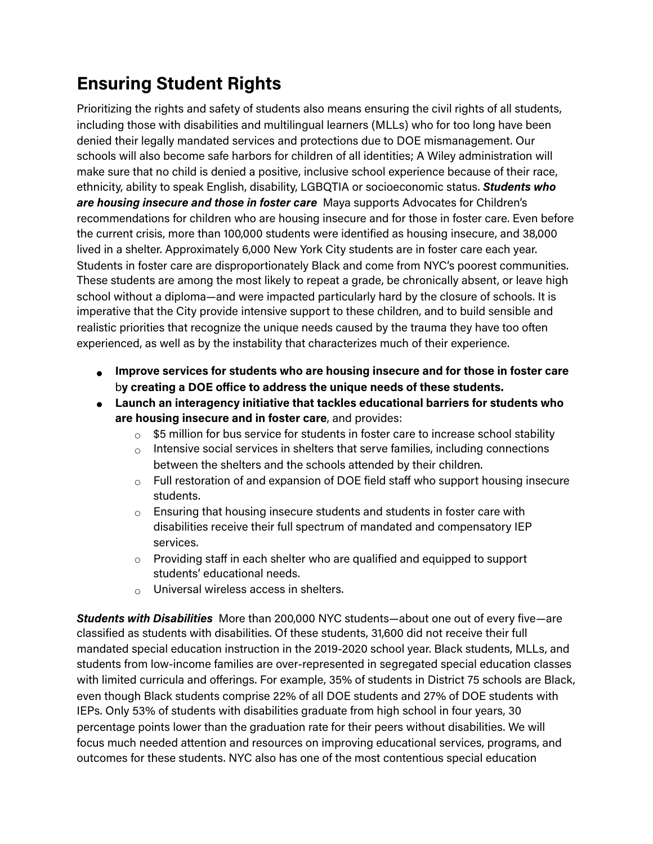## **Ensuring Student Rights**

Prioritizing the rights and safety of students also means ensuring the civil rights of all students, including those with disabilities and multilingual learners (MLLs) who for too long have been denied their legally mandated services and protections due to DOE mismanagement. Our schools will also become safe harbors for children of all identities; A Wiley administration will make sure that no child is denied a positive, inclusive school experience because of their race, ethnicity, ability to speak English, disability, LGBQTIA or socioeconomic status. *Students who are housing insecure and those in foster care* Maya supports Advocates for Children's recommendations for children who are housing insecure and for those in foster care. Even before the current crisis, more than 100,000 students were identified as housing insecure, and 38,000 lived in a shelter. Approximately 6,000 New York City students are in foster care each year. Students in foster care are disproportionately Black and come from NYC's poorest communities. These students are among the most likely to repeat a grade, be chronically absent, or leave high school without a diploma—and were impacted particularly hard by the closure of schools. It is imperative that the City provide intensive support to these children, and to build sensible and realistic priorities that recognize the unique needs caused by the trauma they have too often experienced, as well as by the instability that characterizes much of their experience.

- **Improve services for students who are housing insecure and for those in foster care**  b**y creating a DOE office to address the unique needs of these students.**
- **Launch an interagency initiative that tackles educational barriers for students who are housing insecure and in foster care**, and provides:
	- $\circ$  \$5 million for bus service for students in foster care to increase school stability
	- $\circ$  Intensive social services in shelters that serve families, including connections between the shelters and the schools attended by their children.
	- $\circ$  Full restoration of and expansion of DOE field staff who support housing insecure students.
	- $\circ$  Ensuring that housing insecure students and students in foster care with disabilities receive their full spectrum of mandated and compensatory IEP services.
	- $\circ$  Providing staff in each shelter who are qualified and equipped to support students' educational needs.
	- $\circ$  Universal wireless access in shelters.

*Students with Disabilities* More than 200,000 NYC students—about one out of every five—are classified as students with disabilities. Of these students, 31,600 did not receive their full mandated special education instruction in the 2019-2020 school year. Black students, MLLs, and students from low-income families are over-represented in segregated special education classes with limited curricula and offerings. For example, 35% of students in District 75 schools are Black, even though Black students comprise 22% of all DOE students and 27% of DOE students with IEPs. Only 53% of students with disabilities graduate from high school in four years, 30 percentage points lower than the graduation rate for their peers without disabilities. We will focus much needed attention and resources on improving educational services, programs, and outcomes for these students. NYC also has one of the most contentious special education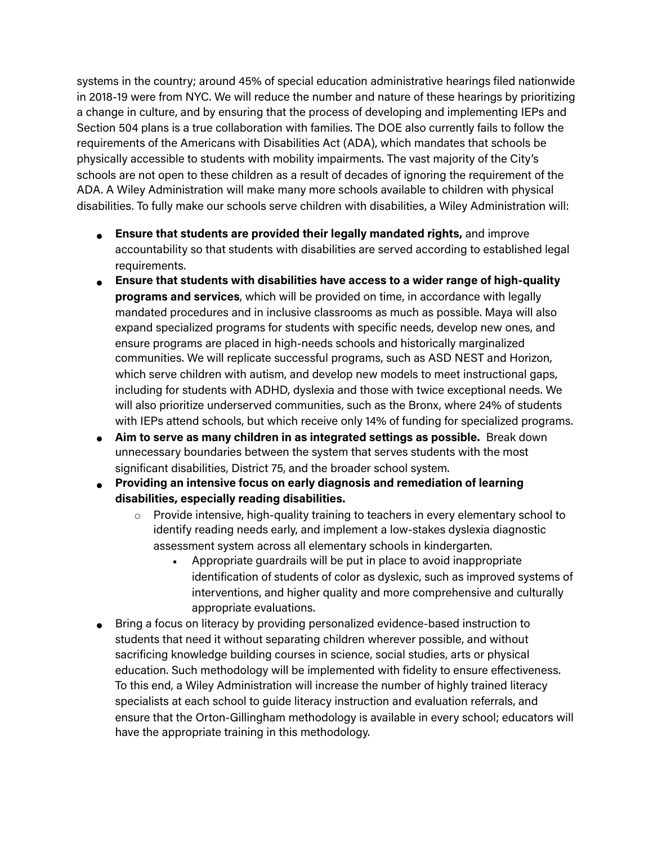systems in the country; around 45% of special education administrative hearings filed nationwide in 2018-19 were from NYC. We will reduce the number and nature of these hearings by prioritizing a change in culture, and by ensuring that the process of developing and implementing IEPs and Section 504 plans is a true collaboration with families. The DOE also currently fails to follow the requirements of the Americans with Disabilities Act (ADA), which mandates that schools be physically accessible to students with mobility impairments. The vast majority of the City's schools are not open to these children as a result of decades of ignoring the requirement of the ADA. A Wiley Administration will make many more schools available to children with physical disabilities. To fully make our schools serve children with disabilities, a Wiley Administration will:

- **Ensure that students are provided their legally mandated rights,** and improve accountability so that students with disabilities are served according to established legal requirements.
- **Ensure that students with disabilities have access to a wider range of high-quality programs and services**, which will be provided on time, in accordance with legally mandated procedures and in inclusive classrooms as much as possible. Maya will also expand specialized programs for students with specific needs, develop new ones, and ensure programs are placed in high-needs schools and historically marginalized communities. We will replicate successful programs, such as ASD NEST and Horizon, which serve children with autism, and develop new models to meet instructional gaps, including for students with ADHD, dyslexia and those with twice exceptional needs. We will also prioritize underserved communities, such as the Bronx, where 24% of students with IEPs attend schools, but which receive only 14% of funding for specialized programs.
- **Aim to serve as many children in as integrated settings as possible.** Break down unnecessary boundaries between the system that serves students with the most significant disabilities, District 75, and the broader school system.
- **Providing an intensive focus on early diagnosis and remediation of learning disabilities, especially reading disabilities.** 
	- $\circ$  Provide intensive, high-quality training to teachers in every elementary school to identify reading needs early, and implement a low-stakes dyslexia diagnostic assessment system across all elementary schools in kindergarten.
		- Appropriate guardrails will be put in place to avoid inappropriate identification of students of color as dyslexic, such as improved systems of interventions, and higher quality and more comprehensive and culturally appropriate evaluations.
- Bring a focus on literacy by providing personalized evidence-based instruction to students that need it without separating children wherever possible, and without sacrificing knowledge building courses in science, social studies, arts or physical education. Such methodology will be implemented with fidelity to ensure effectiveness. To this end, a Wiley Administration will increase the number of highly trained literacy specialists at each school to guide literacy instruction and evaluation referrals, and ensure that the Orton-Gillingham methodology is available in every school; educators will have the appropriate training in this methodology.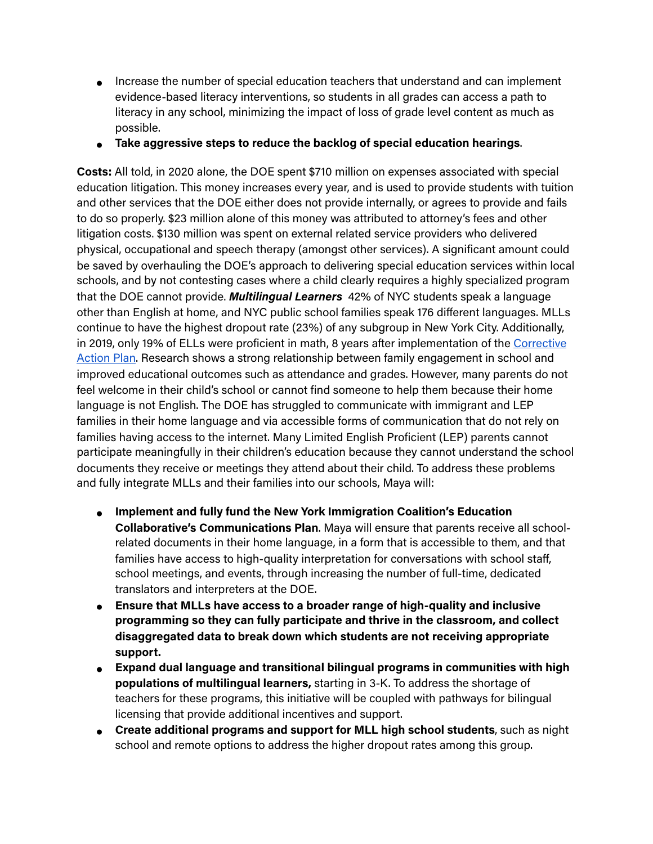- Increase the number of special education teachers that understand and can implement evidence-based literacy interventions, so students in all grades can access a path to literacy in any school, minimizing the impact of loss of grade level content as much as possible.
- **Take aggressive steps to reduce the backlog of special education hearings**.

**Costs:** All told, in 2020 alone, the DOE spent \$710 million on expenses associated with special education litigation. This money increases every year, and is used to provide students with tuition and other services that the DOE either does not provide internally, or agrees to provide and fails to do so properly. \$23 million alone of this money was attributed to attorney's fees and other litigation costs. \$130 million was spent on external related service providers who delivered physical, occupational and speech therapy (amongst other services). A significant amount could be saved by overhauling the DOE's approach to delivering special education services within local schools, and by not contesting cases where a child clearly requires a highly specialized program that the DOE cannot provide. *Multilingual Learners* 42% of NYC students speak a language other than English at home, and NYC public school families speak 176 different languages. MLLs continue to have the highest dropout rate (23%) of any subgroup in New York City. Additionally, in 2019, only 19% of ELLs were proficient in math, 8 years after implementation of the Corrective Action Plan. Research shows a strong relationship between family engagement in school and improved educational outcomes such as attendance and grades. However, many parents do not feel welcome in their child's school or cannot find someone to help them because their home language is not English. The DOE has struggled to communicate with immigrant and LEP families in their home language and via accessible forms of communication that do not rely on families having access to the internet. Many Limited English Proficient (LEP) parents cannot participate meaningfully in their children's education because they cannot understand the school documents they receive or meetings they attend about their child. To address these problems and fully integrate MLLs and their families into our schools, Maya will:

- **Implement and fully fund the New York Immigration Coalition's Education Collaborative's Communications Plan**. Maya will ensure that parents receive all schoolrelated documents in their home language, in a form that is accessible to them, and that families have access to high-quality interpretation for conversations with school staff, school meetings, and events, through increasing the number of full-time, dedicated translators and interpreters at the DOE.
- **Ensure that MLLs have access to a broader range of high-quality and inclusive programming so they can fully participate and thrive in the classroom, and collect disaggregated data to break down which students are not receiving appropriate support.**
- **Expand dual language and transitional bilingual programs in communities with high populations of multilingual learners,** starting in 3-K. To address the shortage of teachers for these programs, this initiative will be coupled with pathways for bilingual licensing that provide additional incentives and support.
- **Create additional programs and support for MLL high school students**, such as night school and remote options to address the higher dropout rates among this group.